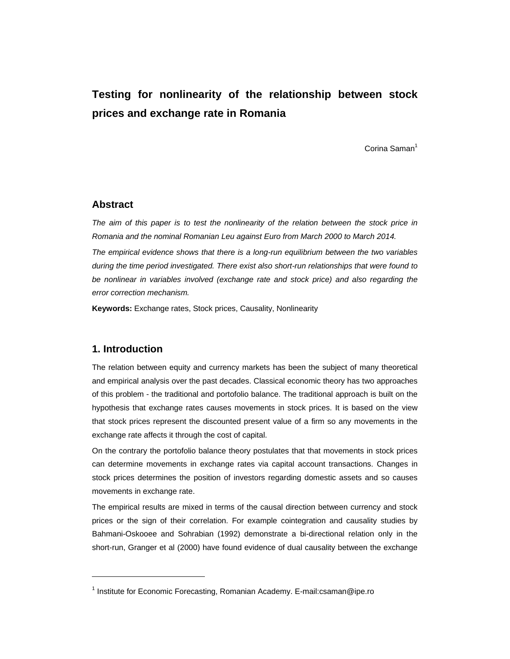# **Testing for nonlinearity of the relationship between stock prices and exchange rate in Romania**

Corina Saman<sup>1</sup>

### **Abstract**

*The aim of this paper is to test the nonlinearity of the relation between the stock price in Romania and the nominal Romanian Leu against Euro from March 2000 to March 2014.* 

*The empirical evidence shows that there is a long-run equilibrium between the two variables during the time period investigated. There exist also short-run relationships that were found to be nonlinear in variables involved (exchange rate and stock price) and also regarding the error correction mechanism.* 

**Keywords:** Exchange rates, Stock prices, Causality, Nonlinearity

## **1. Introduction**

l

The relation between equity and currency markets has been the subject of many theoretical and empirical analysis over the past decades. Classical economic theory has two approaches of this problem - the traditional and portofolio balance. The traditional approach is built on the hypothesis that exchange rates causes movements in stock prices. It is based on the view that stock prices represent the discounted present value of a firm so any movements in the exchange rate affects it through the cost of capital.

On the contrary the portofolio balance theory postulates that that movements in stock prices can determine movements in exchange rates via capital account transactions. Changes in stock prices determines the position of investors regarding domestic assets and so causes movements in exchange rate.

The empirical results are mixed in terms of the causal direction between currency and stock prices or the sign of their correlation. For example cointegration and causality studies by Bahmani-Oskooee and Sohrabian (1992) demonstrate a bi-directional relation only in the short-run, Granger et al (2000) have found evidence of dual causality between the exchange

<sup>&</sup>lt;sup>1</sup> Institute for Economic Forecasting, Romanian Academy. E-mail:csaman@ipe.ro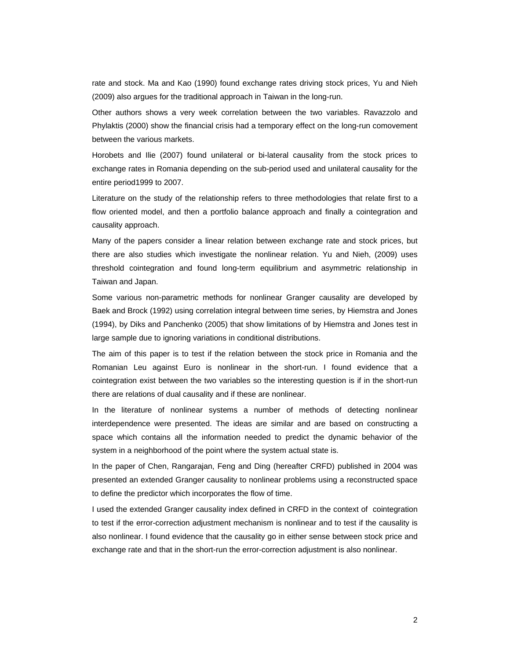rate and stock. Ma and Kao (1990) found exchange rates driving stock prices, Yu and Nieh (2009) also argues for the traditional approach in Taiwan in the long-run.

Other authors shows a very week correlation between the two variables. Ravazzolo and Phylaktis (2000) show the financial crisis had a temporary effect on the long-run comovement between the various markets.

Horobets and Ilie (2007) found unilateral or bi-lateral causality from the stock prices to exchange rates in Romania depending on the sub-period used and unilateral causality for the entire period1999 to 2007.

Literature on the study of the relationship refers to three methodologies that relate first to a flow oriented model, and then a portfolio balance approach and finally a cointegration and causality approach.

Many of the papers consider a linear relation between exchange rate and stock prices, but there are also studies which investigate the nonlinear relation. Yu and Nieh, (2009) uses threshold cointegration and found long-term equilibrium and asymmetric relationship in Taiwan and Japan.

Some various non-parametric methods for nonlinear Granger causality are developed by Baek and Brock (1992) using correlation integral between time series, by Hiemstra and Jones (1994), by Diks and Panchenko (2005) that show limitations of by Hiemstra and Jones test in large sample due to ignoring variations in conditional distributions.

The aim of this paper is to test if the relation between the stock price in Romania and the Romanian Leu against Euro is nonlinear in the short-run. I found evidence that a cointegration exist between the two variables so the interesting question is if in the short-run there are relations of dual causality and if these are nonlinear.

In the literature of nonlinear systems a number of methods of detecting nonlinear interdependence were presented. The ideas are similar and are based on constructing a space which contains all the information needed to predict the dynamic behavior of the system in a neighborhood of the point where the system actual state is.

In the paper of Chen, Rangarajan, Feng and Ding (hereafter CRFD) published in 2004 was presented an extended Granger causality to nonlinear problems using a reconstructed space to define the predictor which incorporates the flow of time.

I used the extended Granger causality index defined in CRFD in the context of cointegration to test if the error-correction adjustment mechanism is nonlinear and to test if the causality is also nonlinear. I found evidence that the causality go in either sense between stock price and exchange rate and that in the short-run the error-correction adjustment is also nonlinear.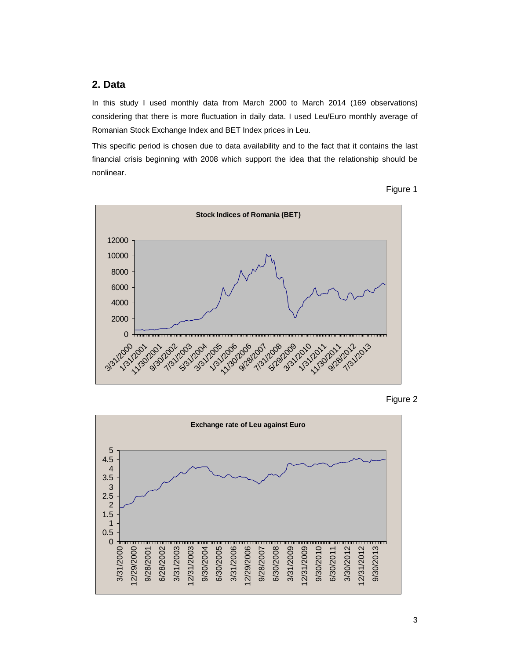## **2. Data**

In this study I used monthly data from March 2000 to March 2014 (169 observations) considering that there is more fluctuation in daily data. I used Leu/Euro monthly average of Romanian Stock Exchange Index and BET Index prices in Leu.

This specific period is chosen due to data availability and to the fact that it contains the last financial crisis beginning with 2008 which support the idea that the relationship should be nonlinear.





Figure 2

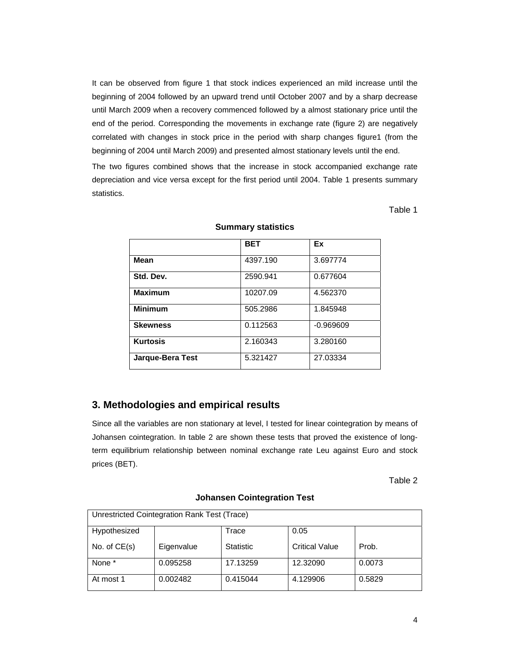It can be observed from figure 1 that stock indices experienced an mild increase until the beginning of 2004 followed by an upward trend until October 2007 and by a sharp decrease until March 2009 when a recovery commenced followed by a almost stationary price until the end of the period. Corresponding the movements in exchange rate (figure 2) are negatively correlated with changes in stock price in the period with sharp changes figure1 (from the beginning of 2004 until March 2009) and presented almost stationary levels until the end.

The two figures combined shows that the increase in stock accompanied exchange rate depreciation and vice versa except for the first period until 2004. Table 1 presents summary statistics.

Table 1

|                  | <b>BET</b> | Ex          |
|------------------|------------|-------------|
| <b>Mean</b>      | 4397.190   | 3.697774    |
| Std. Dev.        | 2590.941   | 0.677604    |
| <b>Maximum</b>   | 10207.09   | 4.562370    |
| <b>Minimum</b>   | 505.2986   | 1.845948    |
| <b>Skewness</b>  | 0.112563   | $-0.969609$ |
| <b>Kurtosis</b>  | 2.160343   | 3.280160    |
| Jarque-Bera Test | 5.321427   | 27.03334    |

#### **Summary statistics**

## **3. Methodologies and empirical results**

Since all the variables are non stationary at level, I tested for linear cointegration by means of Johansen cointegration. In table 2 are shown these tests that proved the existence of longterm equilibrium relationship between nominal exchange rate Leu against Euro and stock prices (BET).

Table 2

| Unrestricted Cointegration Rank Test (Trace) |            |                  |                       |        |  |  |
|----------------------------------------------|------------|------------------|-----------------------|--------|--|--|
| Hypothesized                                 |            | Trace            | 0.05                  |        |  |  |
| No. of $CE(s)$                               | Eigenvalue | <b>Statistic</b> | <b>Critical Value</b> | Prob.  |  |  |
| None *                                       | 0.095258   | 17.13259         | 12.32090              | 0.0073 |  |  |
| At most 1                                    | 0.002482   | 0.415044         | 4.129906              | 0.5829 |  |  |

#### **Johansen Cointegration Test**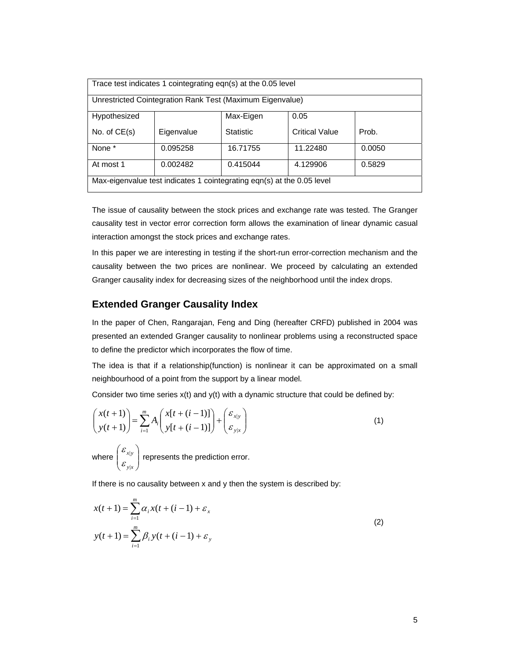| Trace test indicates 1 cointegrating eqn(s) at the 0.05 level          |            |                  |                       |        |  |  |  |
|------------------------------------------------------------------------|------------|------------------|-----------------------|--------|--|--|--|
|                                                                        |            |                  |                       |        |  |  |  |
| Unrestricted Cointegration Rank Test (Maximum Eigenvalue)              |            |                  |                       |        |  |  |  |
|                                                                        |            |                  |                       |        |  |  |  |
| Hypothesized                                                           |            | Max-Eigen        | 0.05                  |        |  |  |  |
|                                                                        |            |                  |                       |        |  |  |  |
| No. of $CE(s)$                                                         | Eigenvalue | <b>Statistic</b> | <b>Critical Value</b> | Prob.  |  |  |  |
|                                                                        |            |                  |                       |        |  |  |  |
| None *                                                                 | 0.095258   | 16.71755         | 11.22480              | 0.0050 |  |  |  |
|                                                                        |            |                  |                       |        |  |  |  |
| At most 1                                                              | 0.002482   | 0.415044         | 4.129906              | 0.5829 |  |  |  |
|                                                                        |            |                  |                       |        |  |  |  |
| Max-eigenvalue test indicates 1 cointegrating eqn(s) at the 0.05 level |            |                  |                       |        |  |  |  |
|                                                                        |            |                  |                       |        |  |  |  |
|                                                                        |            |                  |                       |        |  |  |  |

The issue of causality between the stock prices and exchange rate was tested. The Granger causality test in vector error correction form allows the examination of linear dynamic casual interaction amongst the stock prices and exchange rates.

In this paper we are interesting in testing if the short-run error-correction mechanism and the causality between the two prices are nonlinear. We proceed by calculating an extended Granger causality index for decreasing sizes of the neighborhood until the index drops.

## **Extended Granger Causality Index**

In the paper of Chen, Rangarajan, Feng and Ding (hereafter CRFD) published in 2004 was presented an extended Granger causality to nonlinear problems using a reconstructed space to define the predictor which incorporates the flow of time.

The idea is that if a relationship(function) is nonlinear it can be approximated on a small neighbourhood of a point from the support by a linear model.

Consider two time series  $x(t)$  and  $y(t)$  with a dynamic structure that could be defined by:

$$
\begin{pmatrix} x(t+1) \\ y(t+1) \end{pmatrix} = \sum_{i=1}^{m} A_i \begin{pmatrix} x[t+(i-1)] \\ y[t+(i-1)] \end{pmatrix} + \begin{pmatrix} \varepsilon_{x|y} \\ \varepsilon_{y|x} \end{pmatrix}
$$
  
where  $\begin{pmatrix} \varepsilon_{x|y} \\ \varepsilon_{y|x} \end{pmatrix}$  represents the prediction error. (1)

If there is no causality between x and y then the system is described by:

$$
x(t+1) = \sum_{i=1}^{m} \alpha_i x(t + (i-1) + \varepsilon_x
$$
  

$$
y(t+1) = \sum_{i=1}^{m} \beta_i y(t + (i-1) + \varepsilon_y)
$$
 (2)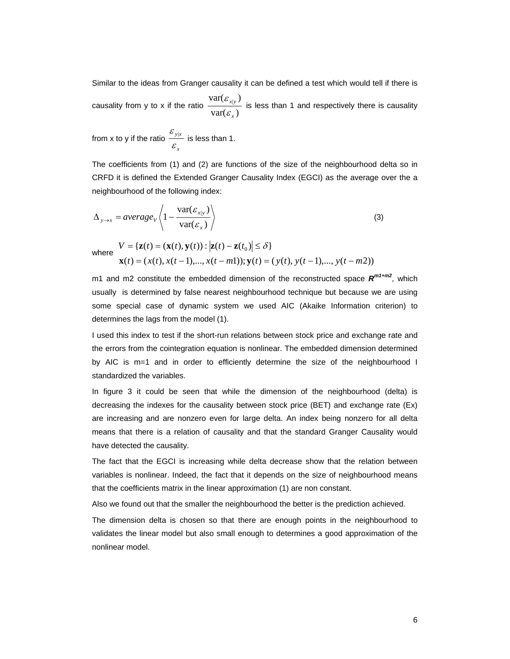Similar to the ideas from Granger causality it can be defined a test which would tell if there is

causality from y to x if the ratio  $\frac{1}{\text{var}(\mathcal{E}_x)}$  $var(\varepsilon_{x|y})$ *x* ε  $\frac{\mathcal{E}_{x|y}}{y}$  is less than 1 and respectively there is causality

from x to y if the ratio *x y x*  $\frac{{\mathcal E}_{{\mathbf y}|{\mathbf x}}}{\mathcal E}_{\mathbf x}}$  is less than 1.

The coefficients from (1) and (2) are functions of the size of the neighbourhood delta so in CRFD it is defined the Extended Granger Causality Index (EGCI) as the average over the a neighbourhood of the following index:

$$
\Delta_{y \to x} = average_V \left\langle 1 - \frac{\text{var}(\varepsilon_{x|y})}{\text{var}(\varepsilon_x)} \right\rangle \tag{3}
$$

where  $(t) = (x(t), x(t-1),..., x(t-m1));$   $y(t) = (y(t), y(t-1),..., y(t-m2))$  $\{ \mathbf{z}(t) = (\mathbf{x}(t), \mathbf{y}(t)) : |\mathbf{z}(t) - \mathbf{z}(t_0)| \leq \delta \}$  $t$   $\mathbf{y} = (x(t), x(t-1),..., x(t-m1));$   $\mathbf{y}(t) = (y(t), y(t-1),..., y(t-m))$  $V = {\bf z}(t) = ({\bf x}(t), {\bf y}(t)) : |{\bf z}(t) - {\bf z}(t)|$  $= (x(t), x(t-1),..., x(t-m1));$   $y(t) = (y(t), y(t-1),..., y(t-1))$  $=\{z(t)=(x(t),y(t)) : |z(t)-z(t_0)| \leq$  $\mathbf{x}(t) = (x(t), x(t-1),..., x(t-m1)); \mathbf{y}$  $\mathbf{z}(t) = (\mathbf{x}(t), \mathbf{y}(t)) : |\mathbf{z}(t) - \mathbf{z}(t_0)| \leq \delta$ 

m1 and m2 constitute the embedded dimension of the reconstructed space  $R^{m1+m2}$ , which usually is determined by false nearest neighbourhood technique but because we are using some special case of dynamic system we used AIC (Akaike Information criterion) to determines the lags from the model (1).

I used this index to test if the short-run relations between stock price and exchange rate and the errors from the cointegration equation is nonlinear. The embedded dimension determined by AIC is m=1 and in order to efficiently determine the size of the neighbourhood I standardized the variables.

In figure 3 it could be seen that while the dimension of the neighbourhood (delta) is decreasing the indexes for the causality between stock price (BET) and exchange rate (Ex) are increasing and are nonzero even for large delta. An index being nonzero for all delta means that there is a relation of causality and that the standard Granger Causality would have detected the causality.

The fact that the EGCI is increasing while delta decrease show that the relation between variables is nonlinear. Indeed, the fact that it depends on the size of neighbourhood means that the coefficients matrix in the linear approximation (1) are non constant.

Also we found out that the smaller the neighbourhood the better is the prediction achieved.

The dimension delta is chosen so that there are enough points in the neighbourhood to validates the linear model but also small enough to determines a good approximation of the nonlinear model.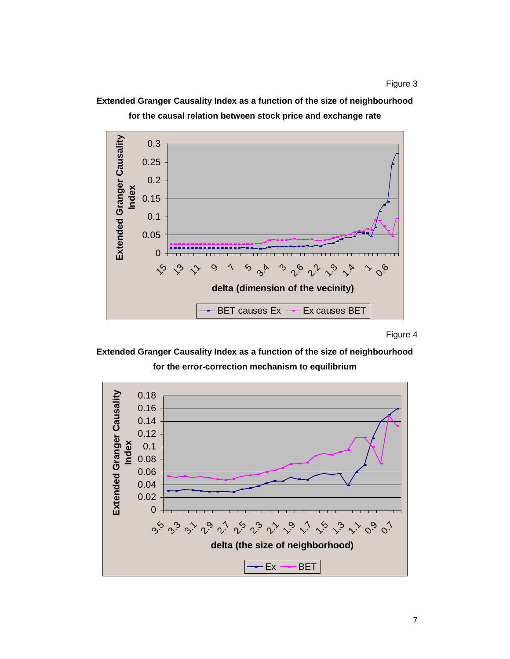**Extended Granger Causality Index as a function of the size of neighbourhood for the causal relation between stock price and exchange rate** 



Figure 4

**Extended Granger Causality Index as a function of the size of neighbourhood for the error-correction mechanism to equilibrium** 

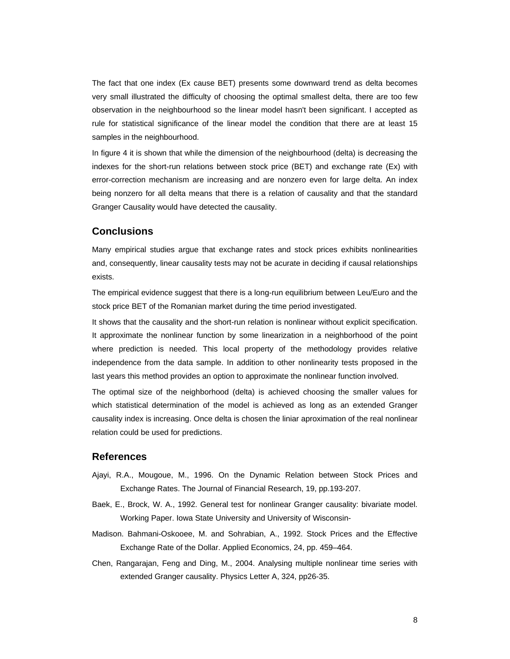The fact that one index (Ex cause BET) presents some downward trend as delta becomes very small illustrated the difficulty of choosing the optimal smallest delta, there are too few observation in the neighbourhood so the linear model hasn't been significant. I accepted as rule for statistical significance of the linear model the condition that there are at least 15 samples in the neighbourhood.

In figure 4 it is shown that while the dimension of the neighbourhood (delta) is decreasing the indexes for the short-run relations between stock price (BET) and exchange rate (Ex) with error-correction mechanism are increasing and are nonzero even for large delta. An index being nonzero for all delta means that there is a relation of causality and that the standard Granger Causality would have detected the causality.

#### **Conclusions**

Many empirical studies argue that exchange rates and stock prices exhibits nonlinearities and, consequently, linear causality tests may not be acurate in deciding if causal relationships exists.

The empirical evidence suggest that there is a long-run equilibrium between Leu/Euro and the stock price BET of the Romanian market during the time period investigated.

It shows that the causality and the short-run relation is nonlinear without explicit specification. It approximate the nonlinear function by some linearization in a neighborhood of the point where prediction is needed. This local property of the methodology provides relative independence from the data sample. In addition to other nonlinearity tests proposed in the last years this method provides an option to approximate the nonlinear function involved.

The optimal size of the neighborhood (delta) is achieved choosing the smaller values for which statistical determination of the model is achieved as long as an extended Granger causality index is increasing. Once delta is chosen the liniar aproximation of the real nonlinear relation could be used for predictions.

#### **References**

- Ajayi, R.A., Mougoue, M., 1996. On the Dynamic Relation between Stock Prices and Exchange Rates. The Journal of Financial Research, 19, pp.193-207.
- Baek, E., Brock, W. A., 1992. General test for nonlinear Granger causality: bivariate model. Working Paper. Iowa State University and University of Wisconsin-
- Madison. Bahmani-Oskooee, M. and Sohrabian, A., 1992. Stock Prices and the Effective Exchange Rate of the Dollar. Applied Economics, 24, pp. 459–464.
- Chen, Rangarajan, Feng and Ding, M., 2004. Analysing multiple nonlinear time series with extended Granger causality. Physics Letter A, 324, pp26-35.